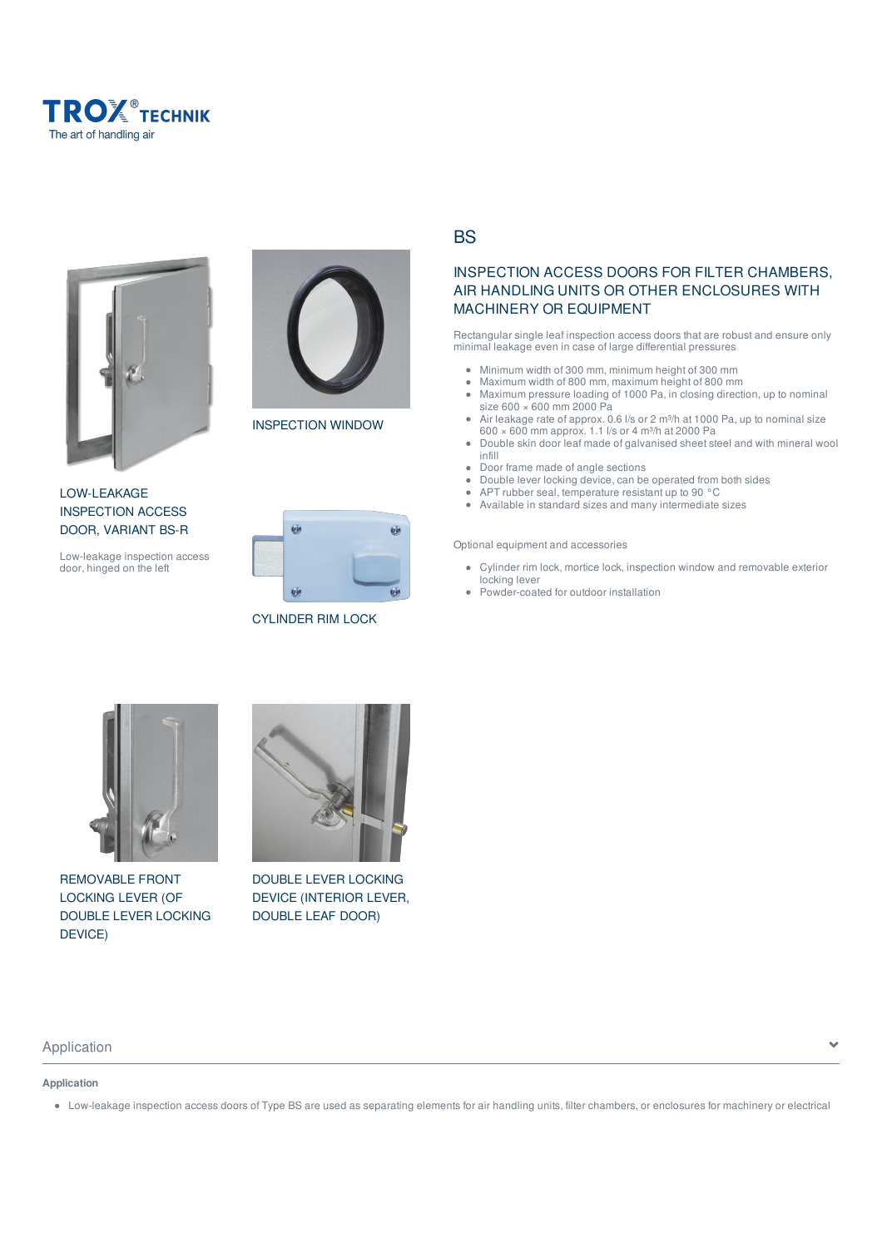





INSPECTION WINDOW

LOW-LEAKAGE INSPECTION ACCESS DOOR, VARIANT BS-R

Low-leakage inspection access door, hinged on the left



CYLINDER RIM LOCK

BS

## INSPECTION ACCESS DOORS FOR FILTER CHAMBERS, AIR HANDLING UNITS OR OTHER ENCLOSURES WITH MACHINERY OR EQUIPMENT

Rectangular single leaf inspection access doors that are robust and ensure only minimal leakage even in case of large differential pressures

- $\bullet$ Minimum width of 300 mm, minimum height of 300 mm
- Maximum width of 800 mm, maximum height of 800 mm  $\bullet$
- $\bullet$ Maximum pressure loading of 1000 Pa, in closing direction, up to nominal size 600 × 600 mm 2000 Pa
- Air leakage rate of approx. 0.6 l/s or 2 m<sup>3</sup>/h at 1000 Pa, up to nominal size  $\ddot{\phantom{a}}$ 600  $\times$  600 mm approx. 1.1 l/s or 4 m<sup>3</sup>/h at 2000 Pa
- Double skin door leaf made of galvanised sheet steel and with mineral wool  $\bullet$ infill
- $\bullet$ Door frame made of angle sections
- $\bullet$ Double lever locking device, can be operated from both sides
- $\bullet$ APT rubber seal, temperature resistant up to 90 °C  $\bullet$
- Available in standard sizes and many intermediate sizes

Optional equipment and accessories

- Cylinder rim lock, mortice lock, inspection window and removable exterior locking lever
- Powder-coated for outdoor installation  $\bullet$



REMOVABLE FRONT LOCKING LEVER (OF DOUBLE LEVER LOCKING DEVICE)

**Application**



DOUBLE LEVER LOCKING DEVICE (INTERIOR LEVER, DOUBLE LEAF DOOR)

Low-leakage inspection access doors of Type BS are used as separating elements for air handling units, filter chambers, or enclosures for machinery or electrical

Application and the set of the set of the set of the set of the set of the set of the set of the set of the set of the set of the set of the set of the set of the set of the set of the set of the set of the set of the set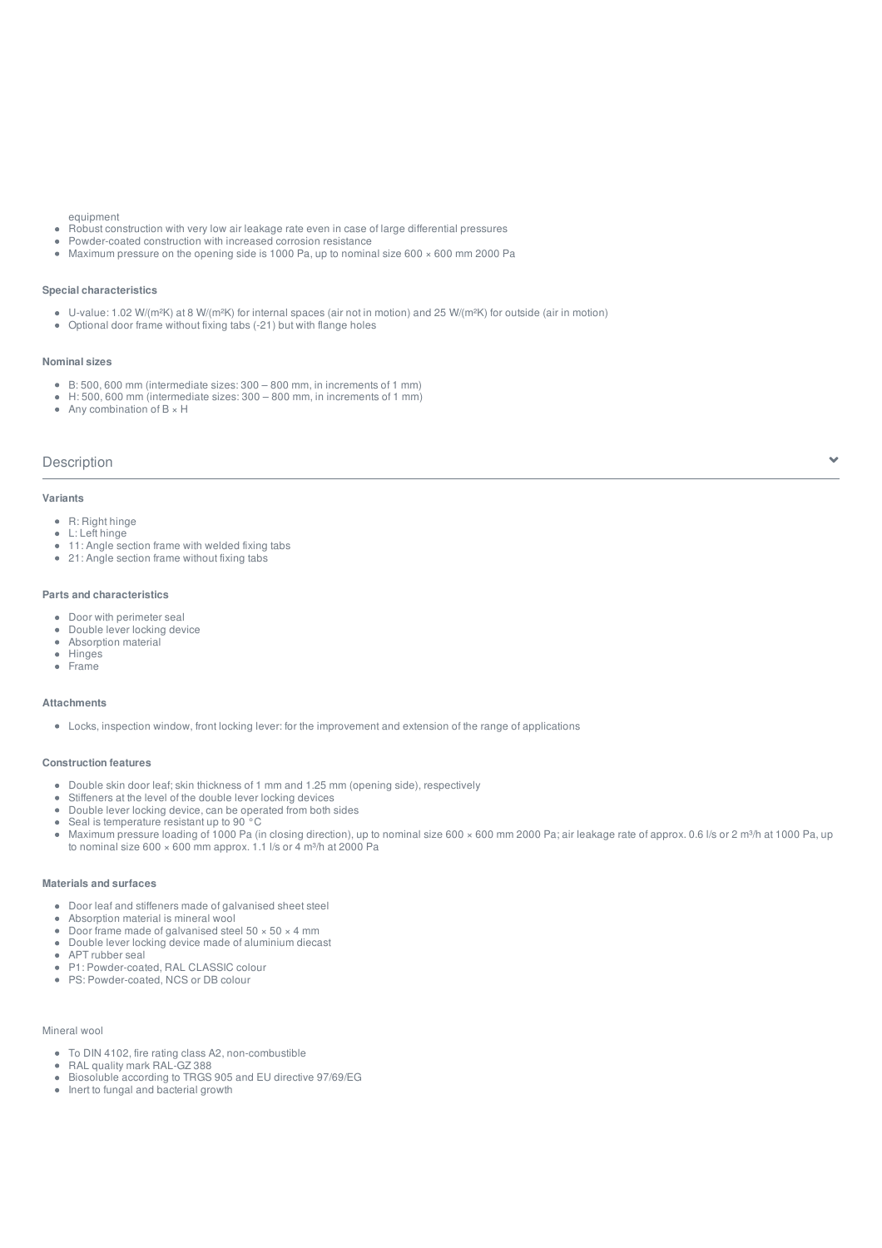#### equipment

- Robust construction with very low air leakage rate even in case of large differential pressures
- Powder-coated construction with increased corrosion resistance
- Maximum pressure on the opening side is 1000 Pa, up to nominal size  $600 \times 600$  mm 2000 Pa

#### **Special characteristics**

- U-value: 1.02 W/(m²K) at 8 W/(m²K) for internal spaces (air not in motion) and 25 W/(m²K) for outside (air in motion)
- Optional door frame without fixing tabs (-21) but with flange holes

#### **Nominal sizes**

- B: 500, 600 mm (intermediate sizes: 300 800 mm, in increments of 1 mm)
- H: 500, 600 mm (intermediate sizes: 300 800 mm, in increments of 1 mm)
- Any combination of  $B \times H$

#### Description

#### **Variants**

- R: Right hinge
- L: Left hinge
- 11: Angle section frame with welded fixing tabs
- 21: Angle section frame without fixing tabs

#### **Parts and characteristics**

- Door with perimeter seal
- Double lever locking device
- Absorption material  $\bullet$
- **Hinges**  $\bullet$
- Frame  $\bullet$

#### **Attachments**

Locks, inspection window, front locking lever: for the improvement and extension of the range of applications

#### **Construction features**

- Double skin door leaf; skin thickness of 1 mm and 1.25 mm (opening side), respectively
- Stiffeners at the level of the double lever locking devices
- Double lever locking device, can be operated from both sides  $\Delta$
- Seal is temperature resistant up to 90 °C  $\bullet$
- Maximum pressure loading of 1000 Pa (in closing direction), up to nominal size 600 × 600 mm 2000 Pa; air leakage rate of approx. 0.6 l/s or 2 m<sup>3</sup>/h at 1000 Pa, up  $\bullet$ to nominal size  $600 \times 600$  mm approx. 1.1 l/s or  $\overline{4}$  m<sup>3</sup>/h at 2000 Pa

#### **Materials and surfaces**

- Door leaf and stiffeners made of galvanised sheet steel
- $\ddot{\phantom{a}}$ Absorption material is mineral wool
- Door frame made of galvanised steel  $50 \times 50 \times 4$  mm  $\Delta$  $\Delta$ Double lever locking device made of aluminium diecast
- APT rubber seal
- P1: Powder-coated, RAL CLASSIC colour  $\bullet$
- PS: Powder-coated, NCS or DB colour

#### Mineral wool

- To DIN 4102, fire rating class A2, non-combustible
- RAL quality mark RAL-GZ 388
- Biosoluble according to TRGS 905 and EU directive 97/69/EG
- $\bullet$  Inert to fungal and bacterial growth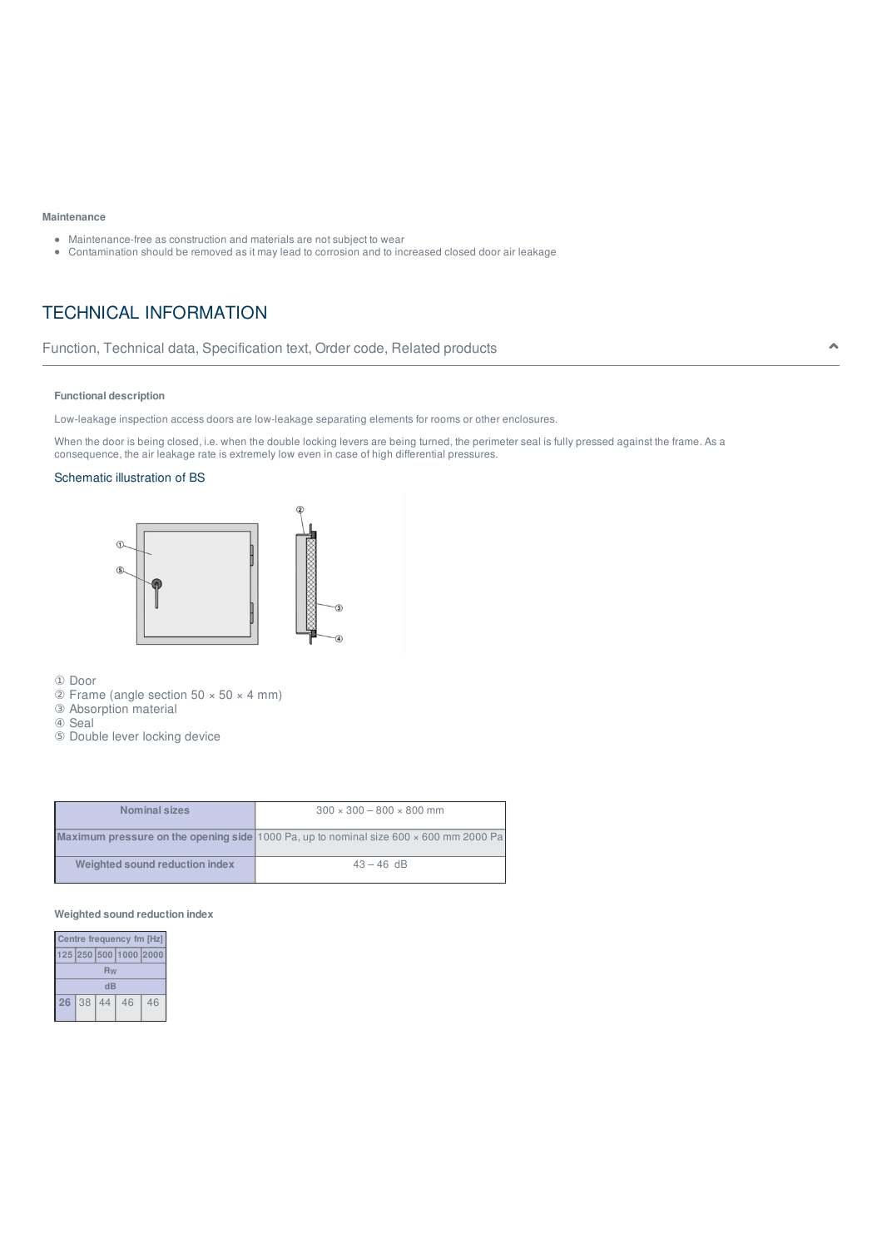#### **Maintenance**

- Maintenance-free as construction and materials are not subject to wear
- Contamination should be removed as it may lead to corrosion and to increased closed door air leakage

## TECHNICAL INFORMATION

## Function, Technical data, Specification text, Order code, Related products

#### **Functional description**

Low-leakage inspection access doors are low-leakage separating elements for rooms or other enclosures.

When the door is being closed, i.e. when the double locking levers are being turned, the perimeter seal is fully pressed against the frame. As a consequence, the air leakage rate is extremely low even in case of high differential pressures.

#### Schematic illustration of BS



① Door

 $\textcircled{2}$  Frame (angle section 50  $\times$  50  $\times$  4 mm)

③ Absorption material

④ Seal

⑤ Double lever locking device

| <b>Nominal sizes</b>           | $300 \times 300 - 800 \times 800$ mm                                                                |
|--------------------------------|-----------------------------------------------------------------------------------------------------|
|                                | <b>Maximum pressure on the opening side</b> 1000 Pa, up to nominal size 600 $\times$ 600 mm 2000 Pa |
| Weighted sound reduction index | $43 - 46$ dB                                                                                        |

#### **Weighted sound reduction index**

| Centre frequency fm [Hz] |    |    |                       |    |  |
|--------------------------|----|----|-----------------------|----|--|
|                          |    |    | 125 250 500 1000 2000 |    |  |
| Rw                       |    |    |                       |    |  |
| dB                       |    |    |                       |    |  |
| 26                       | 38 | 44 | 46                    | 46 |  |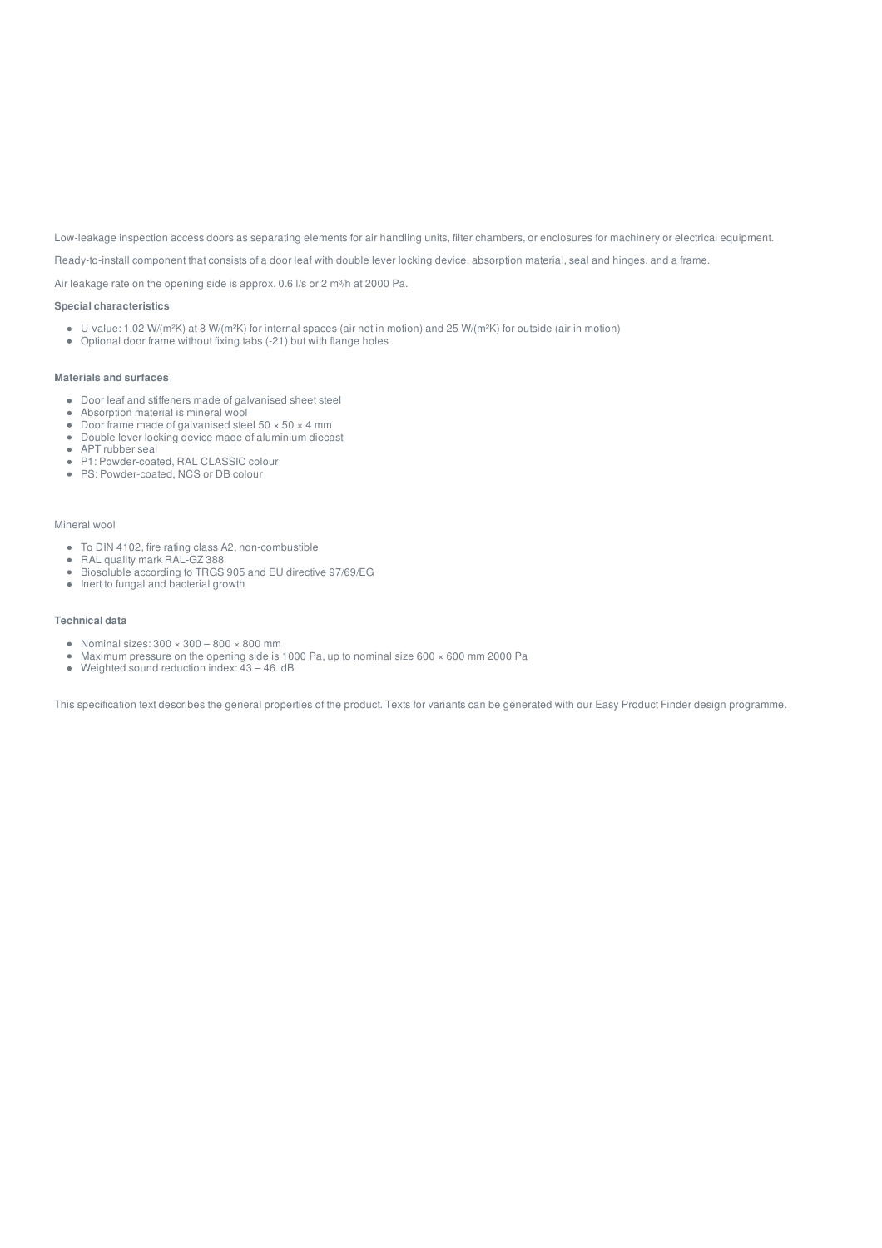Low-leakage inspection access doors as separating elements for air handling units, filter chambers, or enclosures for machinery or electrical equipment.

Ready-to-install component that consists of a door leaf with double lever locking device, absorption material, seal and hinges, and a frame.

Air leakage rate on the opening side is approx. 0.6 l/s or 2 m<sup>3</sup>/h at 2000 Pa.

#### **Special characteristics**

- U-value: 1.02 W/(m²K) at 8 W/(m²K) for internal spaces (air not in motion) and 25 W/(m²K) for outside (air in motion)
- Optional door frame without fixing tabs (-21) but with flange holes

#### **Materials and surfaces**

- Door leaf and stiffeners made of galvanised sheet steel
- Absorption material is mineral wool
- Door frame made of galvanised steel  $50 \times 50 \times 4$  mm
- Doct. have made by guitance of aluminium diecast APT rubber seal
- 
- P1: Powder-coated, RAL CLASSIC colour ● PS: Powder-coated, NCS or DB colour

#### Mineral wool

- To DIN 4102, fire rating class A2, non-combustible
- RAL quality mark RAL-GZ 388
- Biosoluble according to TRGS 905 and EU directive 97/69/EG
- $\bullet$  Inert to fungal and bacterial growth

#### **Technical data**

- Nominal sizes:  $300 \times 300 800 \times 800$  mm
- Maximum pressure on the opening side is 1000 Pa, up to nominal size 600 × 600 mm 2000 Pa
- Weighted sound reduction index: 43 46 dB

This specification text describes the general properties of the product. Texts for variants can be generated with our Easy Product Finder design programme.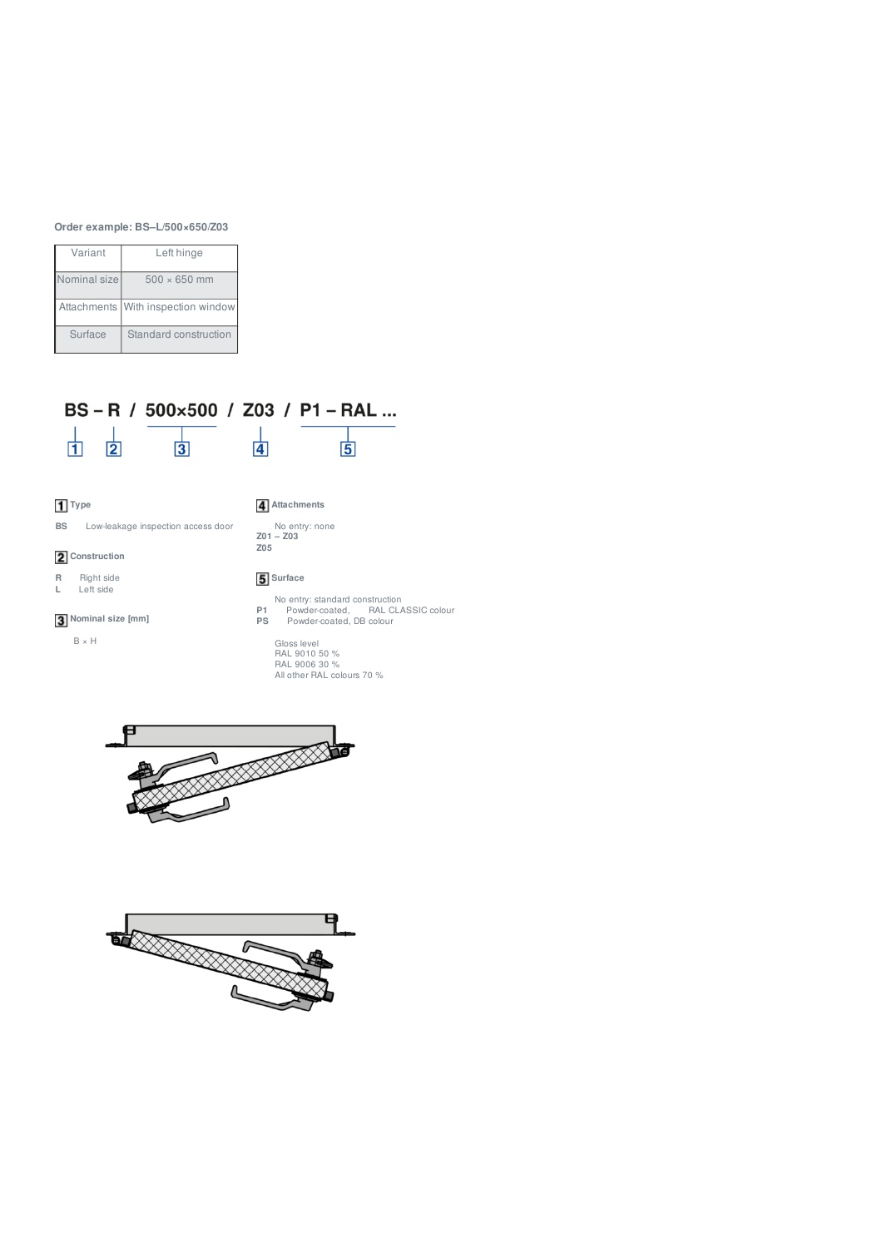### **Order example: BS–L/500×650/Z03**

| Variant      | Left hinge                         |
|--------------|------------------------------------|
| Nominal size | $500 \times 650$ mm                |
|              | Attachments With inspection window |
| Surface      | Standard construction              |

# BS-R / 500×500 / Z03 / P1-RAL...



## **1** Type

## **Attachments**

**BS** Low-leakage inspection access door

## **2** Construction

**R** Right side<br>**L** Left side

## Left side

**Nominal size [mm]**

 $\bar{\mathbb{B}}$   $\times$  H



## **5** Surface

No entry: standard construction **P1** Powder-coated, RAL CLASSIC colour **PS** Powder-coated, DB colour

Gloss level RAL 9010 50 % RAL 9006 30 % All other RAL colours 70 %



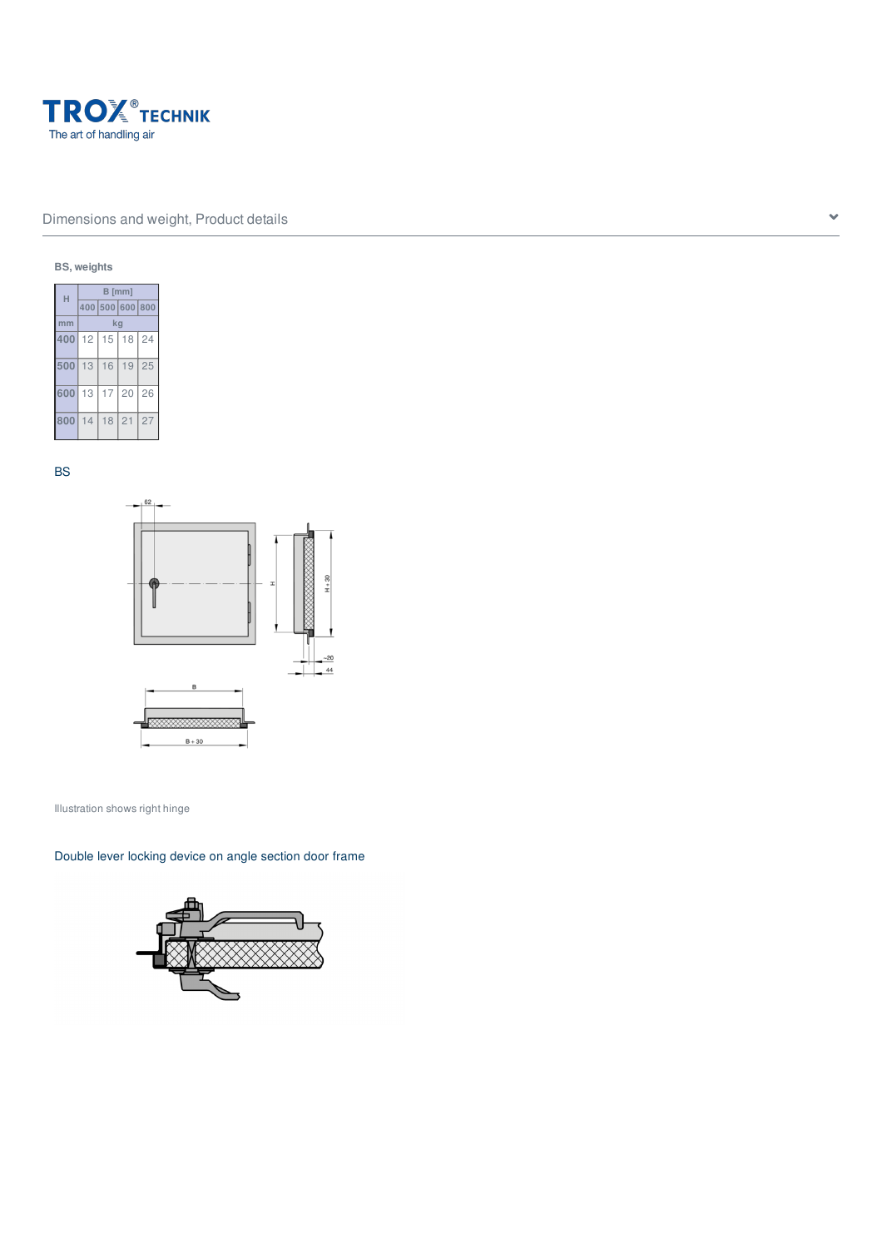

## Dimensions and weight, Product details  $\bullet$

### **BS, weights**



BS



Illustration shows right hinge

Double lever locking device on angle section door frame